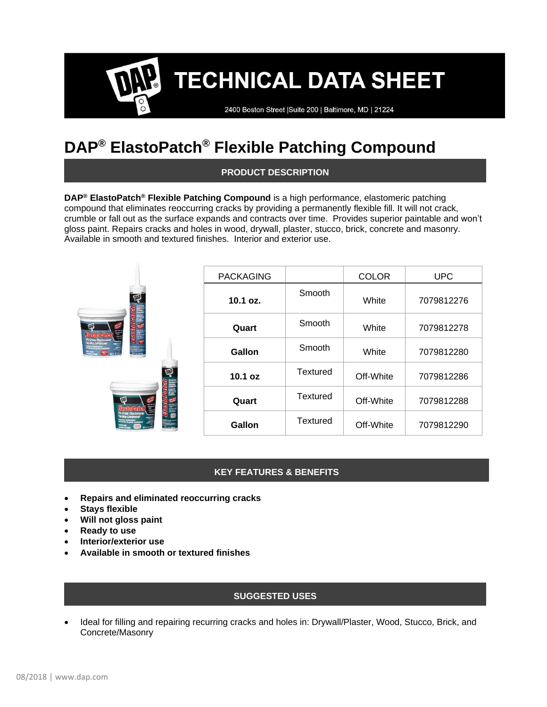### **TECHNICAL DATA SHEET**

2400 Boston Street | Suite 200 | Baltimore, MD | 21224

### **DAP® ElastoPatch® Flexible Patching Compound**

#### **PRODUCT DESCRIPTION**

**DAP® ElastoPatch® Flexible Patching Compound** is a high performance, elastomeric patching compound that eliminates reoccurring cracks by providing a permanently flexible fill. It will not crack, crumble or fall out as the surface expands and contracts over time. Provides superior paintable and won't gloss paint. Repairs cracks and holes in wood, drywall, plaster, stucco, brick, concrete and masonry. Available in smooth and textured finishes. Interior and exterior use.

|                         | <b>PACKAGING</b> |                 | <b>COLOR</b> | <b>UPC</b> |
|-------------------------|------------------|-----------------|--------------|------------|
| 啞<br><b>RM</b>          | 10.1 oz.         | Smooth          | White        | 7079812276 |
|                         | Quart            | Smooth          | White        | 7079812278 |
| ina<br>Kanada<br>Kanada | Gallon           | Smooth          | White        | 7079812280 |
| 哑                       | 10.1 oz          | <b>Textured</b> | Off-White    | 7079812286 |
|                         | Quart            | <b>Textured</b> | Off-White    | 7079812288 |
|                         | Gallon           | <b>Textured</b> | Off-White    | 7079812290 |

#### **KEY FEATURES & BENEFITS**

- **Repairs and eliminated reoccurring cracks**
- **Stays flexible**
- **Will not gloss paint**
- **Ready to use**
- **Interior/exterior use**
- **Available in smooth or textured finishes**

#### **SUGGESTED USES**

• Ideal for filling and repairing recurring cracks and holes in: Drywall/Plaster, Wood, Stucco, Brick, and Concrete/Masonry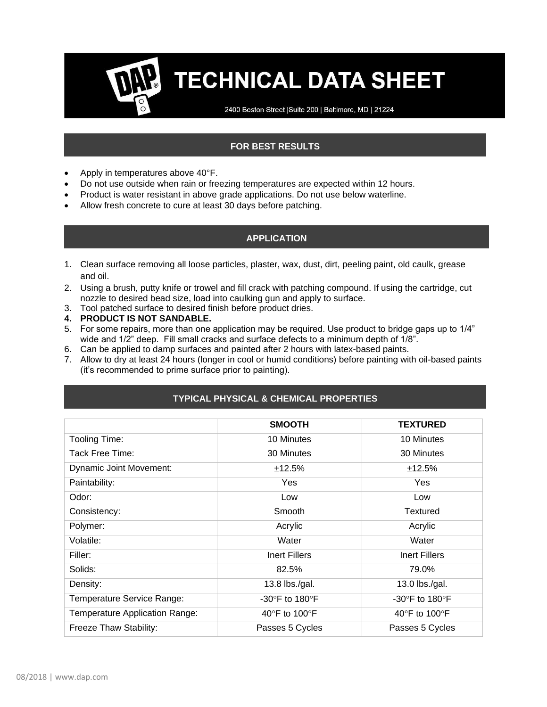# **TECHNICAL DATA SHEET**

2400 Boston Street | Suite 200 | Baltimore, MD | 21224

### **FOR BEST RESULTS**

- Apply in temperatures above 40°F.
- Do not use outside when rain or freezing temperatures are expected within 12 hours.
- Product is water resistant in above grade applications. Do not use below waterline.
- Allow fresh concrete to cure at least 30 days before patching.

#### **APPLICATION**

- 1. Clean surface removing all loose particles, plaster, wax, dust, dirt, peeling paint, old caulk, grease and oil.
- 2. Using a brush, putty knife or trowel and fill crack with patching compound. If using the cartridge, cut nozzle to desired bead size, load into caulking gun and apply to surface.
- 3. Tool patched surface to desired finish before product dries.
- **4. PRODUCT IS NOT SANDABLE.**
- 5. For some repairs, more than one application may be required. Use product to bridge gaps up to 1/4" wide and 1/2" deep. Fill small cracks and surface defects to a minimum depth of 1/8".
- 6. Can be applied to damp surfaces and painted after 2 hours with latex-based paints.
- 7. Allow to dry at least 24 hours (longer in cool or humid conditions) before painting with oil-based paints (it's recommended to prime surface prior to painting).

|                                | <b>SMOOTH</b>                      | <b>TEXTURED</b>                    |
|--------------------------------|------------------------------------|------------------------------------|
| Tooling Time:                  | 10 Minutes                         | 10 Minutes                         |
| Tack Free Time:                | 30 Minutes                         | 30 Minutes                         |
| <b>Dynamic Joint Movement:</b> | ±12.5%                             | ±12.5%                             |
| Paintability:                  | Yes                                | Yes                                |
| Odor:                          | Low                                | Low                                |
| Consistency:                   | Smooth                             | Textured                           |
| Polymer:                       | Acrylic                            | Acrylic                            |
| Volatile:                      | Water                              | Water                              |
| Filler:                        | Inert Fillers                      | <b>Inert Fillers</b>               |
| Solids:                        | 82.5%                              | 79.0%                              |
| Density:                       | 13.8 lbs./gal.                     | 13.0 lbs./gal.                     |
| Temperature Service Range:     | -30 $\degree$ F to 180 $\degree$ F | -30 $\degree$ F to 180 $\degree$ F |
| Temperature Application Range: | 40°F to 100°F                      | 40°F to 100°F                      |
| Freeze Thaw Stability:         | Passes 5 Cycles                    | Passes 5 Cycles                    |

#### **TYPICAL PHYSICAL & CHEMICAL PROPERTIES**